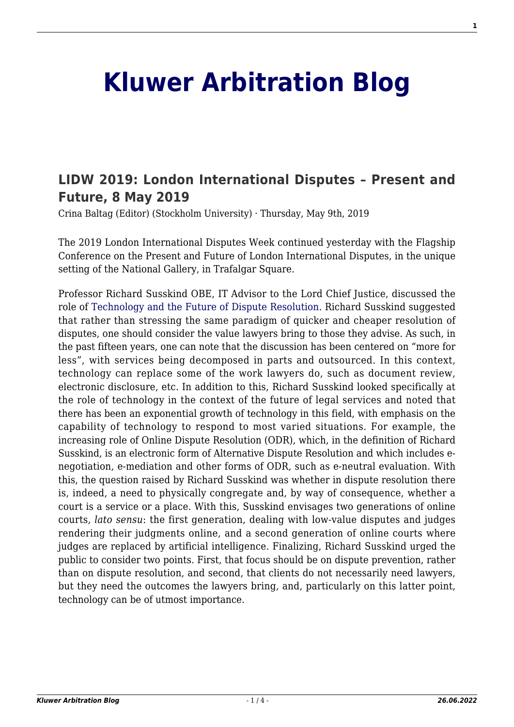## **[Kluwer Arbitration Blog](http://arbitrationblog.kluwerarbitration.com/)**

## **[LIDW 2019: London International Disputes – Present and](http://arbitrationblog.kluwerarbitration.com/2019/05/09/lidw-2019-london-international-disputes-present-and-future-8-may-2019/) [Future, 8 May 2019](http://arbitrationblog.kluwerarbitration.com/2019/05/09/lidw-2019-london-international-disputes-present-and-future-8-may-2019/)**

Crina Baltag (Editor) (Stockholm University) · Thursday, May 9th, 2019

The 2019 London International Disputes Week continued yesterday with the Flagship Conference on the Present and Future of London International Disputes, in the unique setting of the National Gallery, in Trafalgar Square.

Professor Richard Susskind OBE, IT Advisor to the Lord Chief Justice, discussed the role of [Technology and the Future of Dispute Resolution.](https://assets.publishing.service.gov.uk/government/uploads/system/uploads/attachment_data/file/553261/joint-vision-statement.pdf) Richard Susskind suggested that rather than stressing the same paradigm of quicker and cheaper resolution of disputes, one should consider the value lawyers bring to those they advise. As such, in the past fifteen years, one can note that the discussion has been centered on "more for less", with services being decomposed in parts and outsourced. In this context, technology can replace some of the work lawyers do, such as document review, electronic disclosure, etc. In addition to this, Richard Susskind looked specifically at the role of technology in the context of the future of legal services and noted that there has been an exponential growth of technology in this field, with emphasis on the capability of technology to respond to most varied situations. For example, the increasing role of Online Dispute Resolution (ODR), which, in the definition of Richard Susskind, is an electronic form of Alternative Dispute Resolution and which includes enegotiation, e-mediation and other forms of ODR, such as e-neutral evaluation. With this, the question raised by Richard Susskind was whether in dispute resolution there is, indeed, a need to physically congregate and, by way of consequence, whether a court is a service or a place. With this, Susskind envisages two generations of online courts, *lato sensu*: the first generation, dealing with low-value disputes and judges rendering their judgments online, and a second generation of online courts where judges are replaced by artificial intelligence. Finalizing, Richard Susskind urged the public to consider two points. First, that focus should be on dispute prevention, rather than on dispute resolution, and second, that clients do not necessarily need lawyers, but they need the outcomes the lawyers bring, and, particularly on this latter point, technology can be of utmost importance.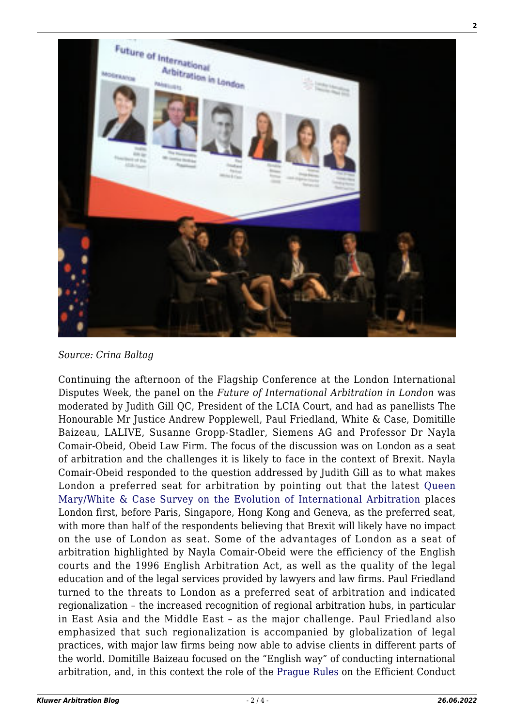

*Source: Crina Baltag*

Continuing the afternoon of the Flagship Conference at the London International Disputes Week, the panel on the *Future of International Arbitration in London* was moderated by Judith Gill QC, President of the LCIA Court, and had as panellists The Honourable Mr Justice Andrew Popplewell, Paul Friedland, White & Case, Domitille Baizeau, LALIVE, Susanne Gropp-Stadler, Siemens AG and Professor Dr Nayla Comair-Obeid, Obeid Law Firm. The focus of the discussion was on London as a seat of arbitration and the challenges it is likely to face in the context of Brexit. Nayla Comair-Obeid responded to the question addressed by Judith Gill as to what makes London a preferred seat for arbitration by pointing out that the latest [Queen](http://www.arbitration.qmul.ac.uk/media/arbitration/docs/2018-International-Arbitration-Survey---The-Evolution-of-International-Arbitration-(2).PDF) [Mary/White & Case Survey on the Evolution of International Arbitration](http://www.arbitration.qmul.ac.uk/media/arbitration/docs/2018-International-Arbitration-Survey---The-Evolution-of-International-Arbitration-(2).PDF) places London first, before Paris, Singapore, Hong Kong and Geneva, as the preferred seat, with more than half of the respondents believing that Brexit will likely have no impact on the use of London as seat. Some of the advantages of London as a seat of arbitration highlighted by Nayla Comair-Obeid were the efficiency of the English courts and the 1996 English Arbitration Act, as well as the quality of the legal education and of the legal services provided by lawyers and law firms. Paul Friedland turned to the threats to London as a preferred seat of arbitration and indicated regionalization – the increased recognition of regional arbitration hubs, in particular in East Asia and the Middle East – as the major challenge. Paul Friedland also emphasized that such regionalization is accompanied by globalization of legal practices, with major law firms being now able to advise clients in different parts of the world. Domitille Baizeau focused on the "English way" of conducting international arbitration, and, in this context the role of the [Prague Rules](http://arbitrationblog.kluwerarbitration.com/category/archives/prague-rules/) on the Efficient Conduct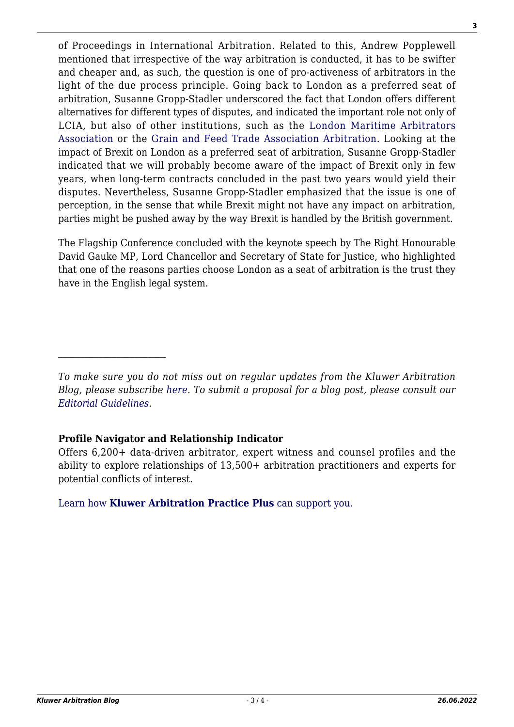of Proceedings in International Arbitration. Related to this, Andrew Popplewell mentioned that irrespective of the way arbitration is conducted, it has to be swifter and cheaper and, as such, the question is one of pro-activeness of arbitrators in the light of the due process principle. Going back to London as a preferred seat of arbitration, Susanne Gropp-Stadler underscored the fact that London offers different alternatives for different types of disputes, and indicated the important role not only of LCIA, but also of other institutions, such as the [London Maritime Arbitrators](http://www.lmaa.london/about-us-Introduction.aspx) [Association](http://www.lmaa.london/about-us-Introduction.aspx) or the [Grain and Feed Trade Association Arbitration.](https://www.gafta.com/arbitration) Looking at the impact of Brexit on London as a preferred seat of arbitration, Susanne Gropp-Stadler indicated that we will probably become aware of the impact of Brexit only in few years, when long-term contracts concluded in the past two years would yield their disputes. Nevertheless, Susanne Gropp-Stadler emphasized that the issue is one of perception, in the sense that while Brexit might not have any impact on arbitration, parties might be pushed away by the way Brexit is handled by the British government.

The Flagship Conference concluded with the keynote speech by The Right Honourable David Gauke MP, Lord Chancellor and Secretary of State for Justice, who highlighted that one of the reasons parties choose London as a seat of arbitration is the trust they have in the English legal system.

*To make sure you do not miss out on regular updates from the Kluwer Arbitration Blog, please subscribe [here](http://arbitrationblog.kluwerarbitration.com/newsletter/). To submit a proposal for a blog post, please consult our [Editorial Guidelines.](http://arbitrationblog.kluwerarbitration.com/editorial-guidelines/)*

## **Profile Navigator and Relationship Indicator**

 $\mathcal{L}_\text{max}$ 

Offers 6,200+ data-driven arbitrator, expert witness and counsel profiles and the ability to explore relationships of 13,500+ arbitration practitioners and experts for potential conflicts of interest.

[Learn how](https://www.wolterskluwer.com/en/solutions/kluwerarbitration/practiceplus?utm_source=arbitrationblog&utm_medium=articleCTA&utm_campaign=article-banner) **[Kluwer Arbitration Practice Plus](https://www.wolterskluwer.com/en/solutions/kluwerarbitration/practiceplus?utm_source=arbitrationblog&utm_medium=articleCTA&utm_campaign=article-banner)** [can support you.](https://www.wolterskluwer.com/en/solutions/kluwerarbitration/practiceplus?utm_source=arbitrationblog&utm_medium=articleCTA&utm_campaign=article-banner)